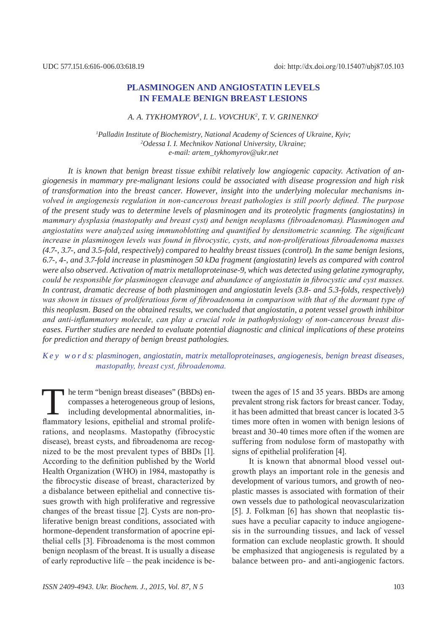# **Plasminogen and angiostatin levels in female benign breast lesions**

#### *A. A. Tykhomyrov1 , I. L. Vovchuk2 , T. V. Grin enko1*

*1 Palladin Institute of Biochemistry, National Academy of Sciences of Ukraine, Kyiv; 2 Odessa I. I. Mechnikov National University, Ukraine; e-mail: artem\_tykhomyrov@ukr.net*

*It is known that benign breast tissue exhibit relatively low angiogenic capacity. Activation of angiogenesis in mammary pre-malignant lesions could be associated with disease progression and high risk of transformation into the breast cancer. However, insight into the underlying molecular mechanisms involved in angiogenesis regulation in non-cancerous breast pathologies is still poorly defined. The purpose of the present study was to determine levels of plasminogen and its proteolytic fragments (angiostatins) in mammary dysplasia (mastopathy and breast cyst) and benign neoplasms (fibroadenomas). Plasminogen and angiostatins were analyzed using immunoblotting and quantified by densitometric scanning. The significant increase in plasminogen levels was found in fibrocystic, cysts, and non-proliferatious fibroadenoma masses (4.7-, 3.7-, and 3.5-fold, respectively) compared to healthy breast tissues (control). In the same benign lesions, 6.7-, 4-, and 3.7-fold increase in plasminogen 50 kDa fragment (angiostatin) levels as compared with control were also observed. Activation of matrix metalloproteinase-9, which was detected using gelatine zymography, could be responsible for plasminogen cleavage and abundance of angiostatin in fibrocystic and cyst masses. In contrast, dramatic decrease of both plasminogen and angiostatin levels (3.8- and 5.3-folds, respectively) was shown in tissues of proliferatious form of fibroadenoma in comparison with that of the dormant type of this neoplasm. Based on the obtained results, we concluded that angiostatin, a potent vessel growth inhibitor and anti-inflammatory molecule, can play a crucial role in pathophysiology of non-cancerous breast diseases. Further studies are needed to evaluate potential diagnostic and clinical implications of these proteins for prediction and therapy of benign breast pathologies.*

### *K e y w o r d s: plasminogen, angiostatin, matrix metalloproteinases, angiogenesis, benign breast diseases, mastopathy, breast cyst, fibroadenoma.*

The term "benign breast diseases" (BBDs) encompasses a heterogeneous group of lesions,<br>including developmental abnormalities, in-<br>flammatory lesions, enithelial and stromal prolifecompasses a heterogeneous group of lesions, including developmental abnormalities, inflammatory lesions, epithelial and stromal proliferations, and neoplasms. Mastopathy (fibrocystic disease), breast cysts, and fibroadenoma are recognized to be the most prevalent types of BBDs [1]. According to the definition published by the World Health Organization (WHO) in 1984, mastopathy is the fibrocystic disease of breast, characterized by a disbalance between epithelial and connective tissues growth with high proliferative and regressive changes of the breast tissue [2]. Cysts are non-proliferative benign breast conditions, associated with hormone-dependent transformation of apocrine epithelial cells [3]. Fibroadenoma is the most common benign neoplasm of the breast. It is usually a disease of early reproductive life – the peak incidence is be-

it has been admitted that breast cancer is located 3-5 times more often in women with benign lesions of breast and 30-40 times more often if the women are suffering from nodulose form of mastopathy with signs of epithelial proliferation [4]. It is known that abnormal blood vessel out-

tween the ages of 15 and 35 years. BBDs are among prevalent strong risk factors for breast cancer. Today,

growth plays an important role in the genesis and development of various tumors, and growth of neoplastic masses is associated with formation of their own vessels due to pathological neovascularization [5]. J. Folkman [6] has shown that neoplastic tissues have a peculiar capacity to induce angiogenesis in the surrounding tissues, and lack of vessel formation can exclude neoplastic growth. It should be emphasized that angiogenesis is regulated by a balance between pro- and anti-angiogenic factors.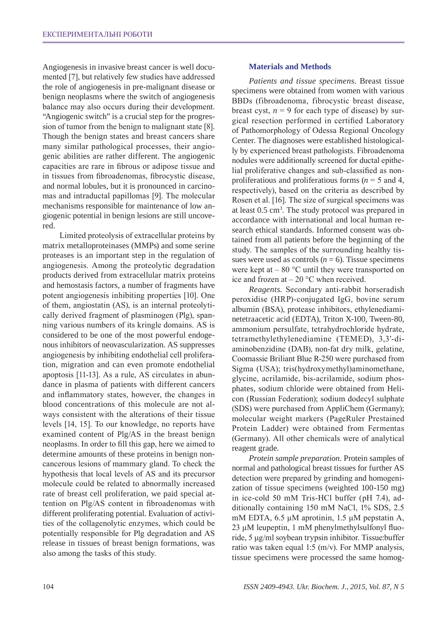Angiogenesis in invasive breast cancer is well documented [7], but relatively few studies have addressed the role of angiogenesis in pre-malignant disease or benign neoplasms where the switch of angiogenesis balance may also occurs during their development. "Angiogenic switch" is a crucial step for the progression of tumor from the benign to malignant state [8]. Though the benign states and breast cancers share many similar pathological processes, their angiogenic abilities are rather different. The angiogenic capacities are rare in fibrous or adipose tissue and in tissues from fibroadenomas, fibrocystic disease, and normal lobules, but it is pronounced in carcinomas and intraductal papillomas [9]. The molecular mechanisms responsible for maintenance of low angiogenic potential in benign lesions are still uncovered.

Limited proteolysis of extracellular proteins by matrix metalloproteinases (MMPs) and some serine proteases is an important step in the regulation of angiogenesis. Among the proteolytic degradation products derived from extracellular matrix proteins and hemostasis factors, a number of fragments have potent angiogenesis inhibiting properties [10]. One of them, angiostatin (AS), is an internal proteolytically derived fragment of plasminogen (Plg), spanning various numbers of its kringle domains. AS is considered to be one of the most powerful endogenous inhibitors of neovascularization. AS suppresses angiogenesis by inhibiting endothelial cell proliferation, migration and can even promote endothelial apoptosis [11-13]. As a rule, AS circulates in abundance in plasma of patients with different cancers and inflammatory states, however, the changes in blood concentrations of this molecule are not always consistent with the alterations of their tissue levels [14, 15]. To our knowledge, no reports have examined content of Plg/AS in the breast benign neoplasms. In order to fill this gap, here we aimed to determine amounts of these proteins in benign noncancerous lesions of mammary gland. To check the hypothesis that local levels of AS and its precursor molecule could be related to abnormally increased rate of breast cell proliferation, we paid special attention on Plg/AS content in fibroadenomas with different proliferating potential. Evaluation of activities of the collagenolytic enzymes, which could be potentially responsible for Plg degradation and AS release in tissues of breast benign formations, was also among the tasks of this study.

### **Materials and Methods**

*Patients and tissue specimens.* Breast tissue specimens were obtained from women with various BBDs (fibroadenoma, fibrocystic breast disease, breast cyst,  $n = 9$  for each type of disease) by surgical resection performed in certified Laboratory of Pathomorphology of Odessa Regional Oncology Center. The diagnoses were established histologically by experienced breast pathologists. Fibroadenoma nodules were additionally screened for ductal epithelial proliferative changes and sub-classified as nonproliferatious and proliferatious forms (*n* = 5 and 4, respectively), based on the criteria as described by Rosen et al. [16]. The size of surgical specimens was at least 0.5 cm3 . The study protocol was prepared in accordance with international and local human research ethical standards. Informed consent was obtained from all patients before the beginning of the study. The samples of the surrounding healthy tissues were used as controls  $(n = 6)$ . Tissue specimens were kept at  $-80$  °C until they were transported on ice and frozen at  $-20$  °C when received.

*Reagents.* Secondary anti-rabbit horseradish peroxidise (HRP)-conjugated IgG, bovine serum albumin (BSA), protease inhibitors, ethylenediaminetetraacetic acid (EDTA), Triton X-100, Tween-80, ammonium persulfate, tetrahydrochloride hydrate, tetramethylethylenediamine (TEMED), 3,3′-diaminobenzidine (DAB), non-fat dry milk, gelatine, Coomassie Briliant Blue R-250 were purchased from Sigma (USA); tris(hydroxymethyl)aminomethane, glycine, acrilamide, bis-acrilamide, sodium phosphates, sodium chloride were obtained from Helicon (Russian Federation); sodium dodecyl sulphate (SDS) were purchased from AppliChem (Germany); molecular weight markers (PageRuler Prestained Protein Ladder) were obtained from Fermentas (Germany). All other chemicals were of analytical reagent grade.

*Protein sample preparation.* Protein samples of normal and pathological breast tissues for further AS detection were prepared by grinding and homogenization of tissue specimens (weighted 100-150 mg) in ice-cold 50 mM Tris-HCl buffer (pH 7.4), additionally containing 150 mM NaCl, 1% SDS, 2.5 mM EDTA, 6.5 μM aprotinin, 1.5 μM pepstatin A, 23 μM leupeptin, 1 mM phenylmethylsulfonyl fluoride, 5 μg/ml soybean trypsin inhibitor. Tissue:buffer ratio was taken equal 1:5 (m/v). For MMP analysis, tissue specimens were processed the same homog-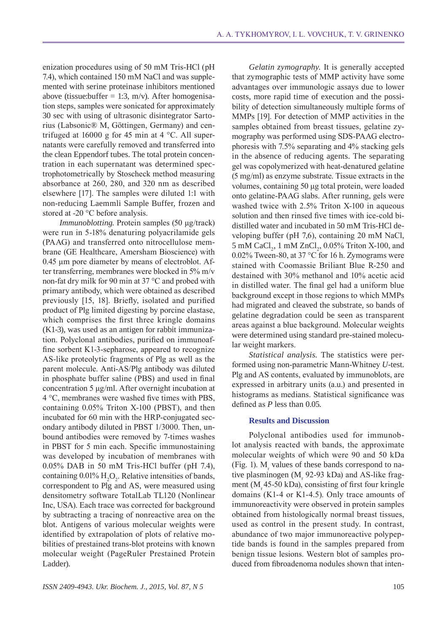*Gelatin zymography.* It is generally accepted

enization procedures using of 50 mМ Tris-HCl (рН 7.4), which contained 150 mМ NaCl and was supplemented with serine proteinase inhibitors mentioned above (tissue:buffer = 1:3, m/v). After homogenisation steps, samples were sonicated for approximately 30 sec with using of ultrasonic disintegrator Sartorius (Labsonic® M, Göttingen, Germany) and centrifuged at 16000 g for 45 min at 4 °C. All supernatants were carefully removed and transferred into the clean Eppendorf tubes. The total protein concentration in each supernatant was determined spectrophotometrically by Stoscheck method measuring absorbance at 260, 280, and 320 nm as described elsewhere [17]. The samples were diluted 1:1 with non-reducing Laemmli Sample Buffer, frozen and stored at -20 °C before analysis.

*Immunoblotting.* Protein samples (50 μg/track) were run in 5-18% denaturing polyacrilamide gels (PAAG) and transferred onto nitrocellulose membrane (GE Healthcare, Amersham Bioscience) with 0.45 μm pore diameter by means of electroblot. After transferring, membranes were blocked in 5% m/v non-fat dry milk for 90 min at 37 °C and probed with primary antibody, which were obtained as described previously [15, 18]. Briefly, isolated and purified product of Plg limited digesting by porcine elastase, which comprises the first three kringle domains (K1-3), was used as an antigen for rabbit immunization. Polyclonal antibodies, purified on immunoaffine sorbent K1-3-sepharose, appeared to recognize AS-like proteolytic fragments of Plg as well as the parent molecule. Anti-AS/Plg antibody was diluted in phosphate buffer saline (PBS) and used in final concentration 5 μg/ml. After overnight incubation at 4 °C, membranes were washed five times with PBS, containing 0.05% Triton X-100 (PBST), and then incubated for 60 min with the HRP-conjugated secondary antibody diluted in PBST 1/3000. Then, unbound antibodies were removed by 7-times washes in PBST for 5 min each. Specific immunostaining was developed by incubation of membranes with 0.05% DAB in 50 mM Tris-HCl buffer (pH 7.4), containing  $0.01\%$  H<sub>2</sub>O<sub>2</sub>. Relative intensities of bands, correspondent to Plg and AS, were measured using densitometry software TotalLab TL120 (Nonlinear Inc, USA). Each trace was corrected for background by subtracting a tracing of nonreactive area on the blot. Antigens of various molecular weights were identified by extrapolation of plots of relative mobilities of prestained trans-blot proteins with known molecular weight (PageRuler Prestained Protein Ladder).

that zymographic tests of MMP activity have some advantages over immunologic assays due to lower costs, more rapid time of execution and the possibility of detection simultaneously multiple forms of MMPs [19]. For detection of MMP activities in the samples obtained from breast tissues, gelatine zymography was performed using SDS-PAAG electrophoresis with 7.5% separating and 4% stacking gels in the absence of reducing agents. The separating gel was copolymerized with heat-denatured gelatine (5 mg/ml) as enzyme substrate. Tissue extracts in the volumes, containing 50 μg total protein, were loaded onto gelatine-PAAG slabs. After running, gels were washed twice with 2.5% Triton X-100 in aqueous solution and then rinsed five times with ice-cold bidistilled water and incubated in 50 mM Tris-HCl developing buffer (pH 7,6), containing 20 mM NaCl, 5 mM CaCl<sub>2</sub>, 1 mM ZnCl<sub>2</sub>, 0.05% Triton X-100, and 0.02% Tween-80, at 37 °C for 16 h. Zymograms were stained with Coomassie Briliant Blue R-250 and destained with 30% methanol and 10% acetic acid in distilled water. The final gel had a uniform blue background except in those regions to which MMPs had migrated and cleaved the substrate, so bands of gelatine degradation could be seen as transparent areas against a blue background. Molecular weights were determined using standard pre-stained molecular weight markers.

*Statistical analysis.* The statistics were performed using non-parametric Mann-Whitney *U*-test. Plg and AS contents, evaluated by immunoblots, are expressed in arbitrary units (a.u.) and presented in histograms as medians. Statistical significance was defined as *P* less than 0.05.

### **Results and Discussion**

Polyclonal antibodies used for immunoblot analysis reacted with bands, the approximate molecular weights of which were 90 and 50 kDa (Fig. 1).  $M_r$  values of these bands correspond to native plasminogen  $(M_r 92-93 kDa)$  and AS-like fragment (M  $45-50$  kDa), consisting of first four kringle domains (K1-4 or K1-4.5). Only trace amounts of immunoreactivity were observed in protein samples obtained from histologically normal breast tissues, used as control in the present study. In contrast, abundance of two major immunoreactive polypeptide bands is found in the samples prepared from benign tissue lesions. Western blot of samples produced from fibroadenoma nodules shown that inten-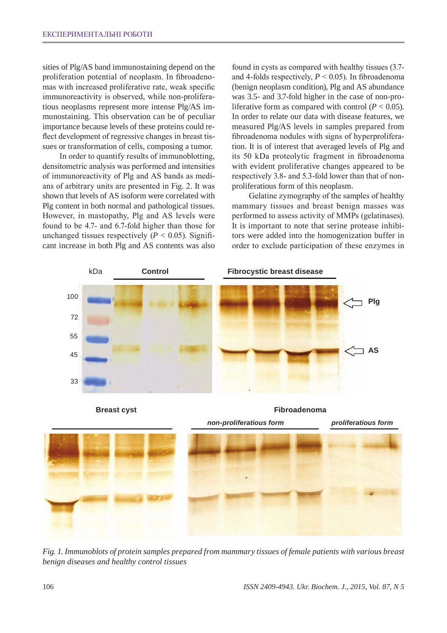sities of Plg/AS band immunostaining depend on the proliferation potential of neoplasm. In fibroadenomas with increased proliferative rate, weak specific immunoreactivity is observed, while non-proliferatious neoplasms represent more intense Plg/AS immunostaining. This observation can be of peculiar importance because levels of these proteins could reflect development of regressive changes in breast tissues or transformation of cells, composing a tumor.

In order to quantify results of immunoblotting, densitometric analysis was performed and intensities of immunoreactivity of Plg and AS bands as medians of arbitrary units are presented in Fig. 2. It was shown that levels of AS isoform were correlated with Plg content in both normal and pathological tissues. However, in mastopathy, Plg and AS levels were found to be 4.7- and 6.7-fold higher than those for unchanged tissues respectively  $(P < 0.05)$ . Significant increase in both Plg and AS contents was also

found in cysts as compared with healthy tissues (3.7and 4-folds respectively,  $P < 0.05$ ). In fibroadenoma (benign neoplasm condition), Plg and AS abundance was 3.5- and 3.7-fold higher in the case of non-proliferative form as compared with control  $(P < 0.05)$ . In order to relate our data with disease features, we measured Plg/AS levels in samples prepared from fibroadenoma nodules with signs of hyperproliferation. It is of interest that averaged levels of Plg and its 50 kDa proteolytic fragment in fibroadenoma with evident proliferative changes appeared to be respectively 3.8- and 5.3-fold lower than that of nonproliferatious form of this neoplasm.

Gelatine zymography of the samples of healthy mammary tissues and breast benign masses was performed to assess activity of MMPs (gelatinases). It is important to note that serine protease inhibitors were added into the homogenization buffer in order to exclude participation of these enzymes in



**Breast cyst Fibroadenoma** 

*non-proliferatious form proliferatious form*



*Fig. 1. Immunoblots of protein samples prepared from mammary tissues of female patients with various breast benign diseases and healthy control tissues*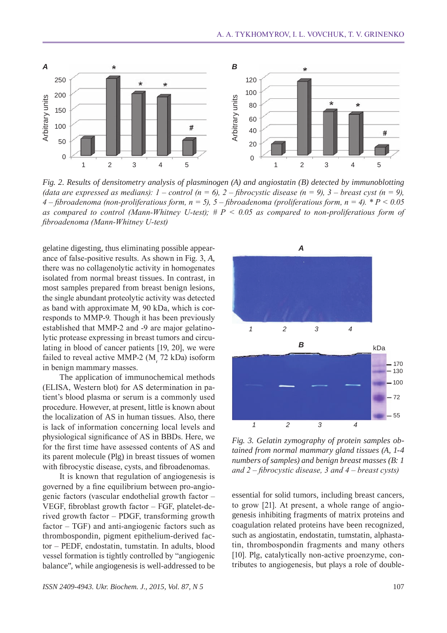

*Fig. 2. Results of densitometry analysis of plasminogen (A) and angiostatin (B) detected by immunoblotting (data are expressed as medians):*  $1$  – *control (n = 6),*  $2$  – *fibrocystic disease (n = 9),*  $3$  – *breast cyst (n = 9), 4 – fibroadenoma (non-proliferatious form, n = 5), 5 – fibroadenoma (proliferatious form, n = 4). \* P < 0.05 as compared to control (Mann-Whitney U-test); # P < 0.05 as compared to non-proliferatious form of fibroadenoma (Mann-Whitney U-test)*

gelatine digesting, thus eliminating possible appearance of false-positive results. As shown in Fig. 3, *A*, there was no collagenolytic activity in homogenates isolated from normal breast tissues. In contrast, in most samples prepared from breast benign lesions, the single abundant proteolytic activity was detected as band with approximate  $M_r$  90 kDa, which is corresponds to MMP-9. Though it has been previously established that MMP-2 and -9 are major gelatinolytic protease expressing in breast tumors and circulating in blood of cancer patients [19, 20], we were failed to reveal active MMP-2  $(M<sub>r</sub> 72 kDa)$  isoform in benign mammary masses.

The application of immunochemical methods (ELISA, Western blot) for AS determination in patient's blood plasma or serum is a commonly used procedure. However, at present, little is known about the localization of AS in human tissues. Also, there is lack of information concerning local levels and physiological significance of AS in BBDs. Here, we for the first time have assessed contents of AS and its parent molecule (Plg) in breast tissues of women with fibrocystic disease, cysts, and fibroadenomas.

It is known that regulation of angiogenesis is governed by a fine equilibrium between pro-angiogenic factors (vascular endothelial growth factor – VEGF, fibroblast growth factor – FGF, platelet-derived growth factor – PDGF, transforming growth factor – TGF) and anti-angiogenic factors such as thrombospondin, pigment epithelium-derived factor – PEDF, endostatin, tumstatin. In adults, blood vessel formation is tightly controlled by "angiogenic balance", while angiogenesis is well-addressed to be



*Fig. 3. Gelatin zymography of protein samples obtained from normal mammary gland tissues (A, 1-4 numbers of samples) and benign breast masses (B: 1 and 2 – fibrocystic disease, 3 and 4 – breast cysts)*

essential for solid tumors, including breast cancers, to grow [21]. At present, a whole range of angiogenesis inhibiting fragments of matrix proteins and coagulation related proteins have been recognized, such as angiostatin, endostatin, tumstatin, alphastatin, thrombospondin fragments and many others [10]. Plg, catalytically non-active proenzyme, contributes to angiogenesis, but plays a role of double-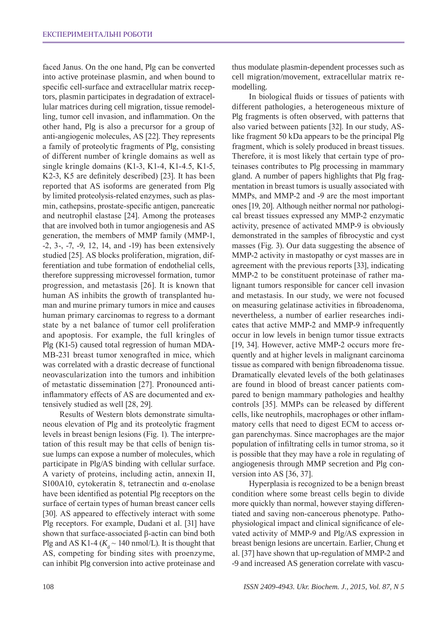faced Janus. On the one hand, Plg can be converted into active proteinase plasmin, and when bound to specific cell-surface and extracellular matrix receptors, plasmin participates in degradation of extracellular matrices during cell migration, tissue remodelling, tumor cell invasion, and inflammation. On the other hand, Plg is also a precursor for a group of anti-angiogenic molecules, AS [22]. They represents a family of proteolytic fragments of Plg, consisting of different number of kringle domains as well as single kringle domains (K1-3, K1-4, K1-4.5, K1-5, K2-3, K5 are definitely described) [23]. It has been reported that AS isoforms are generated from Plg by limited proteolysis-related enzymes, such as plasmin, cathepsins, prostate-specific antigen, pancreatic and neutrophil elastase [24]. Among the proteases that are involved both in tumor angiogenesis and AS generation, the members of MMP family (MMP-1, -2, 3-, -7, -9, 12, 14, and -19) has been extensively studied [25]. AS blocks proliferation, migration, differentiation and tube formation of endothelial cells, therefore suppressing microvessel formation, tumor progression, and metastasis [26]. It is known that human AS inhibits the growth of transplanted human and murine primary tumors in mice and causes human primary carcinomas to regress to a dormant state by a net balance of tumor cell proliferation and apoptosis. For example, the full kringles of Plg (K1-5) caused total regression of human MDA-MB-231 breast tumor xenografted in mice, which was correlated with a drastic decrease of functional neovascularization into the tumors and inhibition of metastatic dissemination [27]. Pronounced antiinflammatory effects of AS are documented and extensively studied as well [28, 29].

Results of Western blots demonstrate simultaneous elevation of Plg and its proteolytic fragment levels in breast benign lesions (Fig. 1). The interpretation of this result may be that cells of benign tissue lumps can expose a number of molecules, which participate in Plg/AS binding with cellular surface. A variety of proteins, including actin, annexin II, S100A10, cytokeratin 8, tetranectin and α-enolase have been identified as potential Plg receptors on the surface of certain types of human breast cancer cells [30]. AS appeared to effectively interact with some Plg receptors. For example, Dudani et al. [31] have shown that surface-associated β-actin can bind both Plg and AS K1-4 ( $K_d \sim 140$  nmol/L). It is thought that AS, competing for binding sites with proenzyme, can inhibit Plg conversion into active proteinase and

thus modulate plasmin-dependent processes such as cell migration/movement, extracellular matrix remodelling.

In biological fluids or tissues of patients with different pathologies, a heterogeneous mixture of Plg fragments is often observed, with patterns that also varied between patients [32]. In our study, ASlike fragment 50 kDa appears to be the principal Plg fragment, which is solely produced in breast tissues. Therefore, it is most likely that certain type of proteinases contributes to Plg processing in mammary gland. A number of papers highlights that Plg fragmentation in breast tumors is usually associated with MMPs, and MMP-2 and -9 are the most important ones [19, 20]. Although neither normal nor pathological breast tissues expressed any MMP-2 enzymatic activity, presence of activated MMP-9 is obviously demonstrated in the samples of fibrocystic and cyst masses (Fig. 3). Our data suggesting the absence of MMP-2 activity in mastopathy or cyst masses are in agreement with the previous reports [33], indicating MMP-2 to be constituent proteinase of rather malignant tumors responsible for cancer cell invasion and metastasis. In our study, we were not focused on measuring gelatinase activities in fibroadenoma, nevertheless, a number of earlier researches indicates that active MMP-2 and MMP-9 infrequently occur in low levels in benign tumor tissue extracts [19, 34]. However, active MMP-2 occurs more frequently and at higher levels in malignant carcinoma tissue as compared with benign fibroadenoma tissue. Dramatically elevated levels of the both gelatinases are found in blood of breast cancer patients compared to benign mammary pathologies and healthy controls [35]. MMPs can be released by different cells, like neutrophils, macrophages or other inflammatory cells that need to digest ECM to access organ parenchymas. Since macrophages are the major population of infiltrating cells in tumor stroma, so it is possible that they may have a role in regulating of angiogenesis through MMP secretion and Plg conversion into AS [36, 37].

Hyperplasia is recognized to be a benign breast condition where some breast cells begin to divide more quickly than normal, however staying differentiated and saving non-cancerous phenotype. Pathophysiological impact and clinical significance of elevated activity of MMP-9 and Plg/AS expression in breast benign lesions are uncertain. Earlier, Chung et al. [37] have shown that up-regulation of MMP-2 and -9 and increased AS generation correlate with vascu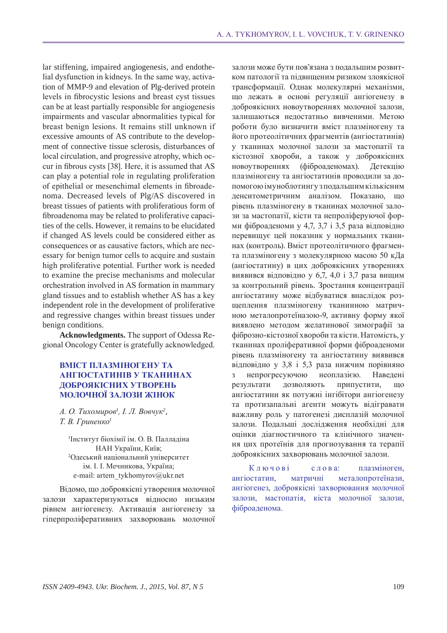lar stiffening, impaired angiogenesis, and endothelial dysfunction in kidneys. In the same way, activation of MMP-9 and elevation of Plg-derived protein levels in fibrocystic lesions and breast cyst tissues can be at least partially responsible for angiogenesis impairments and vascular abnormalities typical for breast benign lesions. It remains still unknown if excessive amounts of AS contribute to the development of connective tissue sclerosis, disturbances of local circulation, and progressive atrophy, which occur in fibrous cysts [38]. Here, it is assumed that AS can play a potential role in regulating proliferation of epithelial or mesenchimal elements in fibroadenoma. Decreased levels of Plg/AS discovered in breast tissues of patients with proliferatious form of fibroadenoma may be related to proliferative capacities of the cells. However, it remains to be elucidated if changed AS levels could be considered either as consequences or as causative factors, which are necessary for benign tumor cells to acquire and sustain high proliferative potential. Further work is needed to examine the precise mechanisms and molecular orchestration involved in AS formation in mammary gland tissues and to establish whether AS has a key independent role in the development of proliferative and regressive changes within breast tissues under benign conditions.

**Acknowledgments.** The support of Odessa Regional Oncology Center is gratefully acknowledged.

## **Вміст плазміногену та ангіостатинів у тканинах доброякісних утворень молочної залози жінок**

*А. О. Тихомиров<sup>1</sup> , І. Л. Вовчук<sup>2</sup> , Т. В. Гриненко<sup>1</sup>*

1 Інститут біохімії ім. О. В. Палладіна НАН України, Київ; 2 Одеський національний університет ім. І. І. Мечникова, Україна; e-mail: artem\_tykhomyrov@ukr.net

Відомо, що доброякісні утворення молочної залози характеризуються відносно низьким рівнем ангіогенезу. Активація ангіогенезу за гіперпроліферативних захворювань молочної залози може бути пов'язана з подальшим розвитком патології та підвищеним ризиком злоякісної трансформації. Однак молекулярні механізми, що лежать в основі регуляції ангіогенезу в доброякісних новоутвореннях молочної залози, залишаються недостатньо вивченими. Метою роботи було визначити вміст плазміногену та його протеолітичних фрагментів (ангіостатинів) у тканинах молочної залози за мастопатії та кістозної хвороби, а також у доброякісних новоутвореннях (фіброаденомах). Детекцію плазміногену та ангіостатинів проводили за допомогою імуноблотингу з подальшим кількісним денситометричним аналізом. Показано, що рівень плазміногену в тканинах молочної залози за мастопатії, кісти та непроліферуючої форми фіброаденоми у 4,7, 3,7 і 3,5 раза відповідно перевищує цей показник у нормальних тканинах (контроль). Вміст протеолітичного фрагмента плазміногену з молекулярною масою 50 кДа (ангіостатину) в цих доброякісних утвореннях виявився відповідно у 6,7, 4,0 і 3,7 раза вищим за контрольний рівень. Зростання концентрації ангіостатину може відбуватися внаслідок розщеплення плазміногену тканинною матричною металопротеїназою-9, активну форму якої виявлено методом желатинової зимографії за фіброзно-кістозної хвороби та кісти. Натомість, у тканинах проліферативної форми фіброаденоми рівень плазміногену та ангіостатину виявився відповідно у 3,8 і 5,3 раза нижчим порівняно з непрогресуючою неоплазією. Наведені результати дозволяють припустити, що ангіостатини як потужні інгібітори ангіогенезу та протизапальні агенти можуть відігравати важливу роль у патогенезі дисплазій молочної залози. Подальші дослідження необхідні для оцінки діагностичного та клінічного значення цих протеїнів для прогнозування та терапії доброякісних захворювань молочної залози.

Ключові слова: плазміноген, ангіостатин, матричні металопротеїнази, ангіогенез, доброякісні захворювання молочної залози, мастопатія, кіста молочної залози, фіброаденома.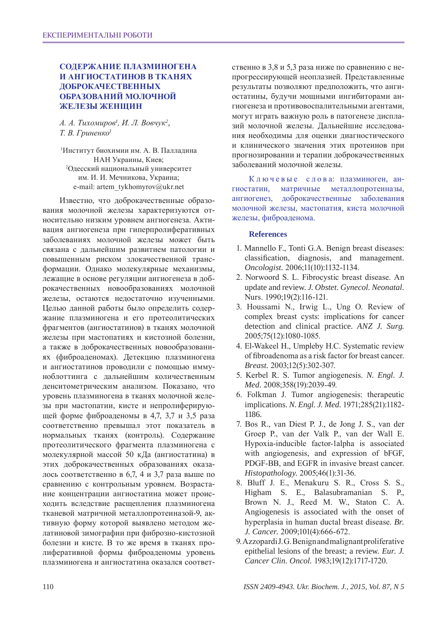# **Содержание плазминогена и ангиостатинов в тканях доброкачественных образований молочной железы женщин**

*А. А. Тихомиров<sup>1</sup> , И. Л. Вовчук<sup>2</sup> , Т. В. Гриненко<sup>1</sup>*

1 Институт биохимии им. А. В. Палладина НАН Украины, Киев; 2 Одесский национальный университет им. И. И. Мечникова, Украина; e-mail: artem\_tykhomyrov@ukr.net

Известно, что доброкачественные образования молочной железы характеризуются относительно низким уровнем ангиогенеза. Активация ангиогенеза при гиперпролиферативных заболеваниях молочной железы может быть связана с дальнейшим развитием патологии и повышенным риском злокачественной трансформации. Однако молекулярные механизмы, лежащие в основе регуляции ангиогенеза в доброкачественных новообразованиях молочной железы, остаются недостаточно изученными. Целью данной работы было определить содержание плазминогена и его протеолитических фрагментов (ангиостатинов) в тканях молочной железы при мастопатиях и кистозной болезни, а также в доброкачественных новообразованиях (фиброаденомах). Детекцию плазминогена и ангиостатинов проводили с помощью иммуноблоттинга с дальнейшим количественным денситометрическим анализом. Показано, что уровень плазминогена в тканях молочной железы при мастопатии, кисте и непролиферирующей форме фиброаденомы в 4,7, 3,7 и 3,5 раза соответственно превышал этот показатель в нормальных тканях (контроль). Содержание протеолитического фрагмента плазминогена с молекулярной массой 50 кДа (ангиостатина) в этих доброкачественных образованиях оказалось соответственно в 6,7, 4 и 3,7 раза выше по сравнению с контрольным уровнем. Возрастание концентрации ангиостатина может происходить вследствие расщепления плазминогена тканевой матричной металлопротеиназой-9, активную форму которой выявлено методом желатиновой зимографии при фиброзно-кистозной болезни и кисте. В то же время в тканях пролиферативной формы фиброаденомы уровень плазминогена и ангиостатина оказался соответ-

ственно в 3,8 и 5,3 раза ниже по сравнению с непрогрессирующей неоплазией. Представленные результаты позволяют предположить, что ангиостатины, будучи мощными ингибиторами ангиогенеза и противовоспалительными агентами, могут играть важную роль в патогенезе дисплазий молочной железы. Дальнейшие исследования необходимы для оценки диагностического и клинического значения этих протеинов при прогнозировании и терапии доброкачественных заболеваний молочной железы.

К л ю ч е в ы е с л о в а: плазминоген, ангиостатин, матричные металлопротеиназы, ангиогенез, доброкачественные заболевания молочной железы, мастопатия, киста молочной железы, фиброаденома.

### **References**

- 1. Mannello F., Tonti G.A. Benign breast diseases: classification, diagnosis, and management. *Oncologist.* 2006;11(10):1132-1134.
- 2. Norwoord S. L. Fibrocystic breast disease. An update and review. *J. Obstet. Gynecol. Neonatal.*  Nurs. 1990;19(2):116-121.
- 3. Houssami N., Irwig L., Ung O. Review of complex breast cysts: implications for cancer detection and clinical practice. *ANZ J. Surg.* 2005;75(12):1080-1085.
- 4. El-Wakeel H., Umpleby H.C. Systematic review of fibroadenoma as a risk factor for breast cancer. *Breast.* 2003;12(5):302-307.
- 5. Kerbel R. S. Tumor angiogenesis. *N. Engl. J. Med.* 2008;358(19):2039-49.
- 6. Folkman J. Tumor angiogenesis: therapeutic implications. *N. Engl. J. Med.* 1971;285(21):1182-1186.
- 7. Bos R., van Diest P. J., de Jong J. S., van der Groep P., van der Valk P., van der Wall E. Hypoxia-inducible factor-1alpha is associated with angiogenesis, and expression of bFGF, PDGF-BB, and EGFR in invasive breast cancer. *Histopathology.* 2005;46(1):31-36.
- 8. Bluff J. E., Menakuru S. R., Cross S. S., Higham S. E., Balasubramanian S. P., Brown N. J., Reed M. W., Staton C. A. Angiogenesis is associated with the onset of hyperplasia in human ductal breast disease. *Br. J. Cancer.* 2009;101(4):666-672.
- 9. Azzopardi J. G. Benign and malignant proliferative epithelial lesions of the breast; a review. *Eur. J. Cancer Clin. Oncol.* 1983;19(12):1717-1720.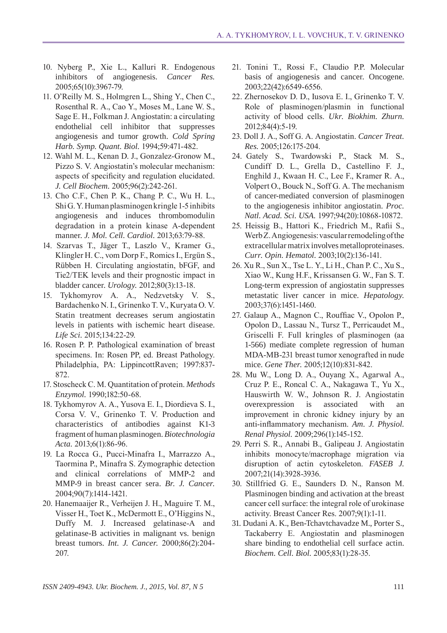- 10. Nyberg P., Xie L., Kalluri R. Endogenous inhibitors of angiogenesis. *Cancer Res.*  2005;65(10):3967-79.
- 11. O'Reilly M. S., Holmgren L., Shing Y., Chen C., Rosenthal R. A., Cao Y., Moses M., Lane W. S., Sage E. H., Folkman J. Angiostatin: a circulating endothelial cell inhibitor that suppresses angiogenesis and tumor growth. *Cold Spring Harb. Symp. Quant. Biol.* 1994;59:471-482.
- 12. Wahl M. L., Kenan D. J., Gonzalez-Gronow M., Pizzo S. V. Angiostatin's molecular mechanism: aspects of specificity and regulation elucidated. *J. Cell Biochem.* 2005;96(2):242-261.
- 13. Cho C.F., Chen P. K., Chang P. C., Wu H. L., ShiG. Y. Human plasminogen kringle 1-5 inhibits angiogenesis and induces thrombomodulin degradation in a protein kinase A-dependent manner. *J. Mol. Cell. Cardiol.* 2013;63:79-88.
- 14. Szarvas T., Jäger T., Laszlo V., Kramer G., Klingler H. C., vom Dorp F., Romics I., Ergün S., Rübben H. Circulating angiostatin, bFGF, and Tie2/TEK levels and their prognostic impact in bladder cancer. *Urology.* 2012;80(3):13-18.
- 15. Tykhomyrov A. A., Nedzvetsky V. S., Bardachenko N. I., Grinenko T. V., Kuryata O. V. Statin treatment decreases serum angiostatin levels in patients with ischemic heart disease. *Life Sci.* 2015;134:22-29.
- 16. Rosen P. P. Pathological examination of breast specimens. In: Rosen PP, ed. Breast Pathology. Philadelphia, PA: LippincottRaven; 1997:837-872.
- 17. Stoscheck C. M. Quantitation of protein. *Methods Enzymol.* 1990;182:50-68.
- 18. Tykhomyrov A. A., Yusova E. I., Diordieva S. I., Corsa V. V., Grinenko T. V. Production and characteristics of antibodies against K1-3 fragment of human plasminogen. *Biotechnologia Acta.* 2013;6(1):86-96.
- 19. La Rocca G., Pucci-Minafra I., Marrazzo A., Taormina P., Minafra S. Zymographic detection and clinical correlations of MMP-2 and MMP-9 in breast cancer sera. *Br. J. Cancer.*  2004;90(7):1414-1421.
- 20. Hanemaaijer R., Verheijen J. H., Maguire T. M., Visser H., Toet K., McDermott E., O'Higgins N., Duffy M. J. Increased gelatinase-A and gelatinase-B activities in malignant vs. benign breast tumors. *Int. J. Cancer.* 2000;86(2):204-207.
- 21. Tonini T., Rossi F., Claudio P.P. Molecular basis of angiogenesis and cancer. Oncogene. 2003;22(42):6549-6556.
- 22. Zhernosekov D. D., Iusova E. I., Grinenko T. V. Role of plasminogen/plasmin in functional activity of blood cells. *Ukr. Biokhim. Zhurn.*  2012;84(4):5-19.
- 23. Doll J. A., Soff G. A. Angiostatin. *Cancer Treat. Res.* 2005;126:175-204.
- 24. Gately S., Twardowski P., Stack M. S., Cundiff D. L., Grella D., Castellino F. J., Enghild J., Kwaan H. C., Lee F., Kramer R. A., Volpert O., Bouck N., Soff G. A. The mechanism of cancer-mediated conversion of plasminogen to the angiogenesis inhibitor angiostatin. *Proc. Natl. Acad. Sci. USA.* 1997;94(20):10868-10872.
- 25. Heissig B., Hattori K., Friedrich M., Rafii S., WerbZ. Angiogenesis: vascular remodeling of the extracellular matrix involves metalloproteinases. *Curr. Opin. Hematol.* 2003;10(2):136-141.
- 26. Xu R., Sun X., Tse L. Y., Li H., Chan P. C., Xu S., Xiao W., Kung H.F., Krissansen G. W., Fan S. T. Long-term expression of angiostatin suppresses metastatic liver cancer in mice. *Hepatology.*  2003;37(6):1451-1460.
- 27. Galaup A., Magnon C., Rouffiac V., Opolon P., Opolon D., Lassau N., Tursz T., Perricaudet M., Griscelli F. Full kringles of plasminogen (aa 1-566) mediate complete regression of human MDA-MB-231 breast tumor xenografted in nude mice. *Gene Ther.* 2005;12(10):831-842.
- 28. Mu W., Long D. A., Ouyang X., Agarwal A., Cruz P. E., Roncal C. A., Nakagawa T., Yu X., Hauswirth W. W., Johnson R. J. Angiostatin overexpression is associated with an improvement in chronic kidney injury by an anti-inflammatory mechanism. *Am. J. Physiol. Renal Physiol.* 2009;296(1):145-152.
- 29. Perri S. R., Annabi B., Galipeau J. Angiostatin inhibits monocyte/macrophage migration via disruption of actin cytoskeleton. *FASEB J.*  2007;21(14):3928-3936.
- 30. Stillfried G. E., Saunders D. N., Ranson M. Plasminogen binding and activation at the breast cancer cell surface: the integral role of urokinase activity. Breast Cancer Res. 2007;9(1):1-11.
- 31. Dudani A. K., Ben-Tchavtchavadze M., Porter S., Tackaberry E. Angiostatin and plasminogen share binding to endothelial cell surface actin. *Biochem. Cell. Biol.* 2005;83(1):28-35.